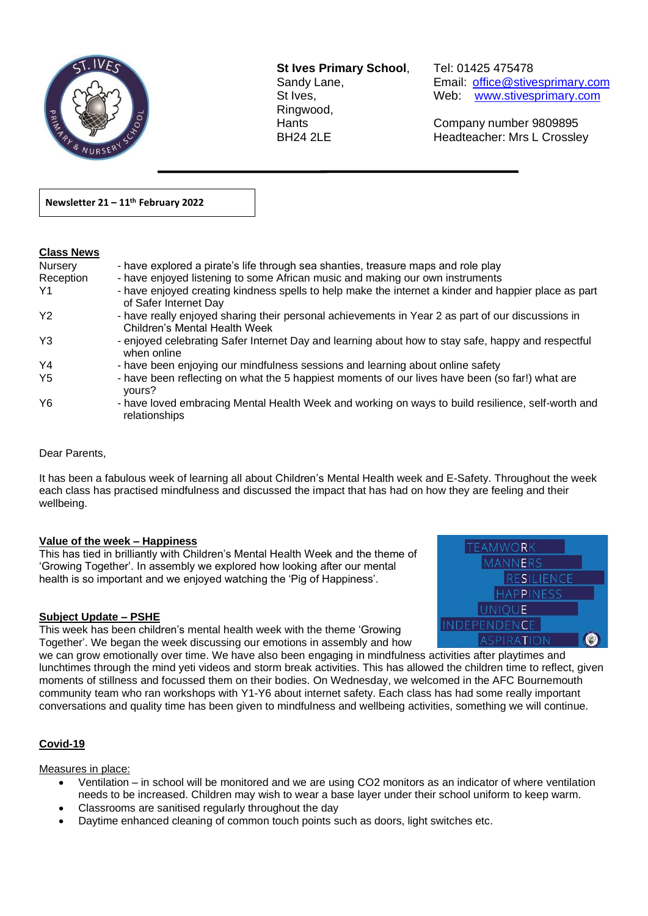

**St Ives Primary School**, Tel: 01425 475478 Ringwood,

 $\overline{a}$ 

Sandy Lane, Email: office@stivesprimary.com St Ives, **St Ives,** Web: [www.stivesprimary.com](http://www.stives.dorset.sch.uk/)

Hants Company number 9809895 Headteacher: Mrs L Crossley

**Newsletter 21 – 11th February 2022** 

### **Class News**

| <b>Nursery</b> | - have explored a pirate's life through sea shanties, treasure maps and role play                                                  |
|----------------|------------------------------------------------------------------------------------------------------------------------------------|
| Reception      | - have enjoyed listening to some African music and making our own instruments                                                      |
| Y1             | - have enjoyed creating kindness spells to help make the internet a kinder and happier place as part<br>of Safer Internet Day      |
| Y2             | - have really enjoyed sharing their personal achievements in Year 2 as part of our discussions in<br>Children's Mental Health Week |
| Y3             | - enjoyed celebrating Safer Internet Day and learning about how to stay safe, happy and respectful<br>when online                  |
| Y4             | - have been enjoying our mindfulness sessions and learning about online safety                                                     |
| Y5             | - have been reflecting on what the 5 happiest moments of our lives have been (so far!) what are<br>yours?                          |
| Y6             | - have loved embracing Mental Health Week and working on ways to build resilience, self-worth and<br>relationships                 |

Dear Parents,

It has been a fabulous week of learning all about Children's Mental Health week and E-Safety. Throughout the week each class has practised mindfulness and discussed the impact that has had on how they are feeling and their wellbeing.

#### **Value of the week – Happiness**

This has tied in brilliantly with Children's Mental Health Week and the theme of 'Growing Together'. In assembly we explored how looking after our mental health is so important and we enjoyed watching the 'Pig of Happiness'.

#### **Subject Update – PSHE**

This week has been children's mental health week with the theme 'Growing Together'. We began the week discussing our emotions in assembly and how



we can grow emotionally over time. We have also been engaging in mindfulness activities after playtimes and lunchtimes through the mind yeti videos and storm break activities. This has allowed the children time to reflect, given moments of stillness and focussed them on their bodies. On Wednesday, we welcomed in the AFC Bournemouth community team who ran workshops with Y1-Y6 about internet safety. Each class has had some really important conversations and quality time has been given to mindfulness and wellbeing activities, something we will continue.

#### **Covid-19**

#### Measures in place:

- Ventilation in school will be monitored and we are using CO2 monitors as an indicator of where ventilation needs to be increased. Children may wish to wear a base layer under their school uniform to keep warm.
- Classrooms are sanitised regularly throughout the day
- Daytime enhanced cleaning of common touch points such as doors, light switches etc.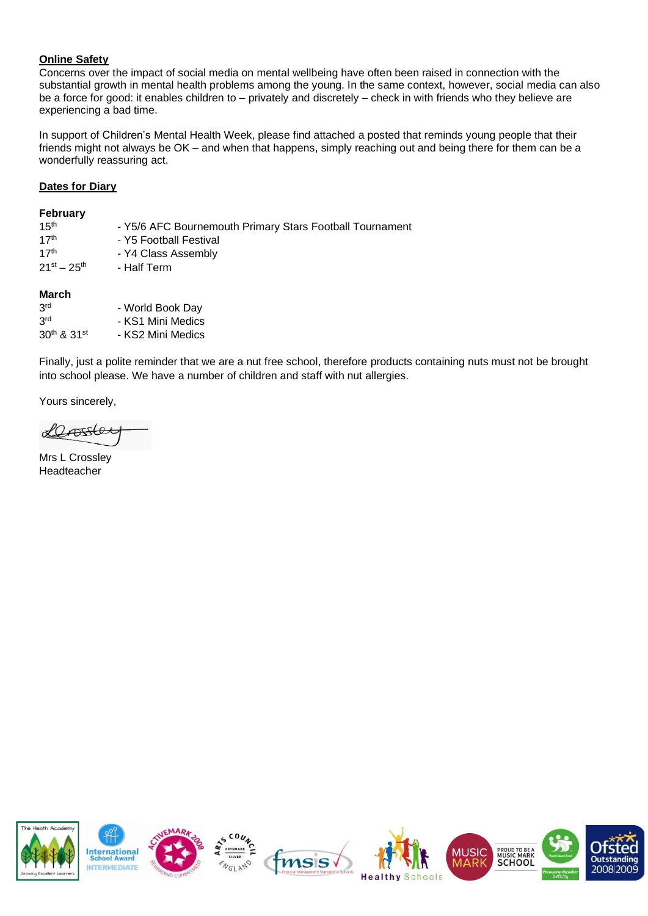# **Online Safety**

Concerns over the impact of social media on mental wellbeing have often been raised in connection with the substantial growth in mental health problems among the young. In the same context, however, social media can also be a force for good: it enables children to – privately and discretely – check in with friends who they believe are experiencing a bad time.

In support of Children's Mental Health Week, please find attached a posted that reminds young people that their friends might not always be OK – and when that happens, simply reaching out and being there for them can be a wonderfully reassuring act.

## **Dates for Diary**

#### **February**

| 15 <sup>th</sup><br>17 <sup>th</sup><br>17 <sup>th</sup> | - Y5/6 AFC Bournemouth Primary Stars Football Tournament<br>- Y5 Football Festival<br>- Y4 Class Assembly |
|----------------------------------------------------------|-----------------------------------------------------------------------------------------------------------|
| $21^{st} - 25^{th}$                                      | - Half Term                                                                                               |
| March                                                    |                                                                                                           |
| 3 <sup>rd</sup>                                          | - World Book Day                                                                                          |
| 3 <sup>rd</sup>                                          | - KS1 Mini Medics                                                                                         |
| 30th & 31st                                              | - KS2 Mini Medics                                                                                         |

Finally, just a polite reminder that we are a nut free school, therefore products containing nuts must not be brought into school please. We have a number of children and staff with nut allergies.

Yours sincerely,

 $0$ 

Mrs L Crossley Headteacher